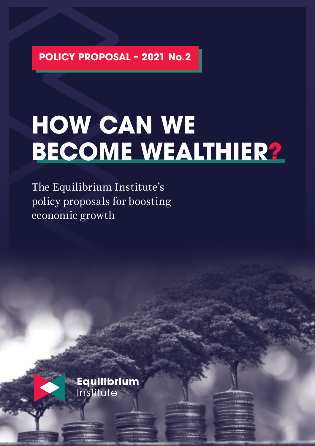**POLICY PROPOSAL – 2021 No.2**

# **HOW CAN WE BECOME WEALTHIER?**

The Equilibrium Institute's policy proposals for boosting economic growth

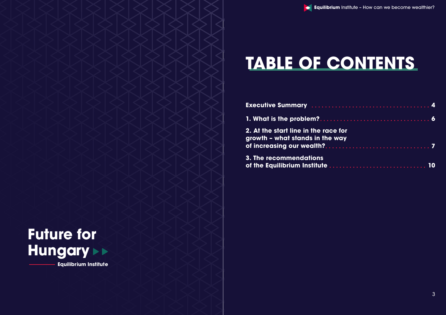# **TABLE OF CONTENTS**

**Executive Summary** *......***.** 

| for |  |  |  |  |  |  |  |  |  |  |  |  |    |  |
|-----|--|--|--|--|--|--|--|--|--|--|--|--|----|--|
| vay |  |  |  |  |  |  |  |  |  |  |  |  |    |  |
|     |  |  |  |  |  |  |  |  |  |  |  |  |    |  |
|     |  |  |  |  |  |  |  |  |  |  |  |  | 10 |  |

**1. What is the problem?**

**2. At the start line in the race** growth - what stands in the **v of increasing our wealth?**

**3. The recommendations of the Equilibrium Institute**



**Equilibrium Institute**

**Equilibrium** Institute - How can we become wealthier?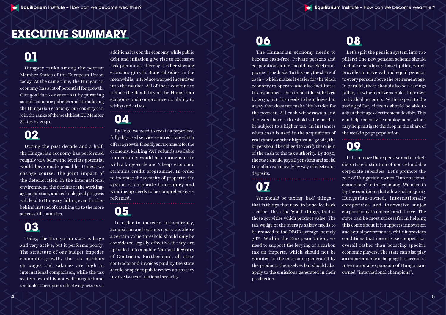### **EXECUTIVE SUMMARY**

## **01**

Hungary ranks among the poorest Member States of the European Union today. At the same time, the Hungarian economy has a lot of potential for growth. Our goal is to ensure that by pursuing sound economic policies and stimulating the Hungarian economy, our country can join the ranks of the wealthiest EU Member States by 2030.

### **02**

During the past decade and a half, the Hungarian economy has performed roughly 30% below the level its potential would have made possible. Unless we change course, the joint impact of the deterioration in the international environment, the decline of the workingage population, and technological progress will lead to Hungary falling even further behind instead of catching up to the more successful countries.

### **03**

Today, the Hungarian state is large and very active, but it performs poorly. The structure of our budget impedes economic growth, the tax burdens on wages and salaries are high in international comparison, while the tax system overall is not well-targeted and unstable. Corruption effectively acts as an

additional tax on the economy, while public debt and inflation give rise to excessive risk premiums, thereby further slowing economic growth. State subsidies, in the meanwhile, introduce warped incentives into the market. All of these combine to reduce the flexibility of the Hungarian economy and compromise its ability to withstand crises.

#### **04** By 2030 we need to create a paperless, fully digitised service-centred state which offers a growth-friendly environment for the economy. Making VAT refunds available immediately would be commensurate with a large-scale and 'cheap' economic

stimulus credit programme. In order to increase the security of property, the system of corporate bankruptcy and winding up needs to be comprehensively reformed.

### **05**

In order to increase transparency, acquisition and options contracts above a certain value threshold should only be considered legally effective if they are uploaded into a public National Registry of Contracts. Furthermore, all state contracts and invoices paid by the state should be open to public review unless they involve issues of national security.

## **06**

The Hungarian economy needs to become cash-free. Private persons and corporations alike should use electronic payment methods. To this end, the share of cash – which makes it easier for the black economy to operate and also facilitates tax avoidance – has to be at least halved by 2030; but this needs to be achieved in a way that does not make life harder for the poorest. All cash withdrawals and deposits above a threshold value need to be subject to a higher tax. In instances when cash is used in the acquisition of real estate or other high-value goods, the buyer should be obliged to verify the origin of the cash to the tax authority. By 2030, the state should pay all pensions and social transfers exclusively by way of electronic deposits.

### **07**

We should be taxing 'bad' things – that is things that need to be scaled back – rather than the 'good' things, that is those activities which produce value. The tax wedge of the average salary needs to be reduced to the OECD average, namely 36%. Within the European Union, we need to support the levying of a carbon tax on imports, which should not be vlimited to the emissions generated by the products themselves but should also apply to the emissions generated in their production.

### **08**

Let's split the pension system into two pillars! The new pension scheme should include a solidarity-based pillar, which provides a universal and equal pension to every person above the retirement age. In parallel, there should also be a savings pillar, in which citizens hold their own individual accounts. With respect to the saving pillar, citizens should be able to adjust their age of retirement flexibly. This can help incentivise employment, which may help mitigate the drop in the share of the working-age population.

### **09**

Let's remove the expensive and marketdistorting institution of non-refundable corporate subsidies! Let's promote the role of Hungarian-owned "international champions" in the economy! We need to lay the conditions that allow such majority Hungarian-owned, internationally competitive and innovative major corporations to emerge and thrive. The state can be most successful in helping this come about if it supports innovation and actual performance, while it provides conditions that incentivise competition overall rather than boosting specific economic players. The state can also play an important role in helping the successful international expansion of Hungarianowned "international champions".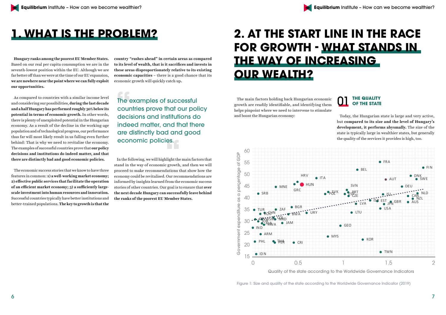### **1. WHAT IS THE PROBLEM?**

**Hungary ranks among the poorest EU Member States.** Based on our real per capita consumption we are in the seventh-lowest position within the EU. Although we are far better off than we were at the time of our EU expansion, **we are nowhere near the point where we can fully exploit our opportunities.** 

As compared to countries with a similar income level and considering our possibilities, **during the last decade and a half Hungary has performed roughly 30% below its potential in terms of economic growth.** In other words, there is plenty of unexploited potential in the Hungarian economy. As a result of the decline in the working-age population and of technological progress, our performance thus far will most likely result in us falling even further behind: That is why we need to revitalise the economy. The examples of successful countries prove that **our policy decisions and institutions do indeed matter, and that there are distinctly bad and good economic policies.** 

The economic success stories that we know to have three features in common: **1) a well-working market economy; 2) effective public services that facilitate the operation of an efficient market economy; 3) a sufficiently largescale investment into human resources and innovation.**  Successful countries typically have better institutions and better-trained populations. **The key to growth is that the** 

**country "rushes ahead" in certain areas as compared to its level of wealth, that is it sacrifices and invests in these areas disproportionately relative to its existing economic capacities –** there is a good chance that its economic growth will quickly catch up**.** 

In the following, we will highlight the main factors that stand in the way of economic growth, and then we will proceed to make recommendations that show how the economy could be revitalised. Our recommendations are informed by insights learned from the economic success stories of other countries. Our goal is to ensure that **over the next decade Hungary can successfully leave behind the ranks of the poorest EU Member States.** 

## **2. AT THE START LINE IN THE RACE FOR GROWTH - WHAT STANDS IN THE WAY OF INCREASING OUR WEALTH?**

The main factors holding back Hungarian economic growth are readily identifiable, and identifying them helps pinpoint where we need to intervene to stimulate and boost the Hungarian economy:

Today, the Hungarian state is large and very active, but **compared to its size and the level of Hungary's development, it performs abysmally.** The size of the state is typically large in wealthier states, but generally the quality of the services it provides is high, too.



Quality of the state according to the Worldwide Governance Indicators

Figure 1: Size and quality of the state according to the Worldwide Governance Indicator (2019)

## **THE QUALITY<br>OF THE STATE**

The examples of successful countries prove that our policy decisions and institutions do indeed matter, and that there are distinctly bad and good economic policies.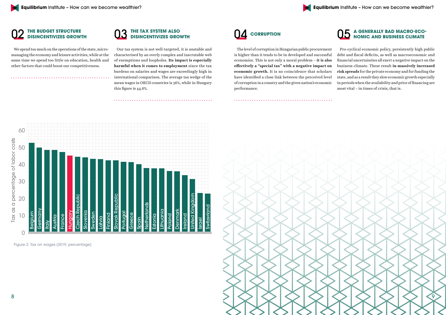

### **THE BUDGET STRUCTURE<br>DISINCENTIVIZES GROWTH**

We spend too much on the operations of the state, micromanaging the economy and leisure activities, while at the same time we spend too little on education, health and other factors that could boost our competitiveness.



Our tax system is not well-targeted, it is unstable and characterised by an overly complex and inscrutable web of exemptions and loopholes. **Its impact is especially harmful when it comes to employment** since the tax burdens on salaries and wages are exceedingly high in international comparison. The average tax wedge of the mean wages in OECD countries is 36%, while in Hungary this figure is 44.6%.



Figure 2: Tax on wages (2019, percentage)



The level of corruption in Hungarian public procurement is higher than it tends to be in developed and successful economies. This is not only a moral problem – **it is also effectively a "special tax" with a negative impact on economic growth.** It is no coincidence that scholars have identified a close link between the perceived level of corruption in a country and the given nation's economic performance.

### **A GENERALLY BAD MACRO-ECO-**05 **NOMIC AND BUSINESS CLIMATE**

Pro-cyclical economic policy, persistently high public debt and fiscal deficits, as well as macroeconomic and financial uncertainties all exert a negative impact on the business climate. These result **in massively increased risk spreads** for the private economy and for funding the state, and as a result they slow economic growth especially in periods when the availability and price of financing are most vital – in times of crisis, that is.

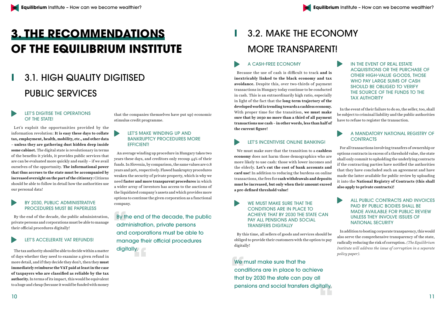## **3. THE RECOMMENDATIONS OF THE EQUILIBRIUM INSTITUTE**

## **I** 3.1. HIGH QUALITY DIGITISED PUBLIC SERVICES

#### LET'S DIGITISE THE OPERATIONS OF THE STATE!

Let's exploit the opportunities provided by the information revolution: **It is easy these days to collate tax, employment, health, mobility, etc., and other data – unless they are gathering dust hidden deep inside some cabinet.** The digital state is revolutionary in terms of the benefits it yields, it provides public services that are can be evaluated more quickly and easily – if we avail ourselves of the opportunity. **The informational power that thus accrues to the state must be accompanied by increased oversight on the part of the citizenry:** Citizens should be able to follow in detail how the authorities use our personal data!

#### BY 2030, PUBLIC ADMINISTRATIVE PROCEDURES MUST BE PAPERLESS

By the end of the decade, the public administration, private persons and corporations must be able to manage their official procedures digitally!

#### LET'S ACCELERATE VAT REFUNDS!

The tax authority should be able to decide within a matter of days whether they need to examine a given refund in more detail, and if they decide they don't, then they **must immediately reimburse the VAT paid at least in the case of taxpayers who are classified as reliable by the tax authority.** In terms of its impact, this would be equivalent to a huge and cheap (because it would be funded with money

that the companies themselves have put up) economic stimulus credit programme.

#### LET'S MAKE WINDING UP AND BANKRUPTCY PROCEDURES MORE EFFICIENT!

An average winding up procedure in Hungary takes two years these days, and creditors only recoup 44% of their funds. In Slovenia, by comparison, the same values are 0.8 years and 90%, respectively. Flawed bankruptcy procedures weaken the security of private property, which is why we need **faster and more transparent procedures** in which a wider array of investors has access to the auctions of the liquidated company's assets and which provides more options to continue the given corporation as a functional company.

#### A MANDATORY NATIONAL REGISTRY OF **CONTRACTS**

## **I** 3.2. MAKE THE ECONOMY MORE TRANSPARENT!

#### A CASH-FREE ECONOMY

By the end of the decade, the public administration, private persons and corporations must be able to manage their official procedures digitally.

> We must make sure that the conditions are in place to achieve that by 2030 the state can pay all pensions and social transfers digitally.

#### LET'S INCENTIVISE ONLINE BANKING!

Because the use of cash is difficult to track **and is inextricably linked to the black economy and tax avoidance.** Despite this, over two-thirds of payment transactions in Hungary today continue to be conducted in cash. This is an extraordinarily high ratio, especially in light of the fact that the **long-term trajectory of the developed world is trending towards a cashless economy.**  With proper time for the transition, **we must make sure that by 2030 no more than a third of all payment transactions use cash – in other words, less than half of the current figure!** OTHER HIGH-VALUE GOODS, THOSE WHO PAY LARGE SUMS OF CASH SHOULD BE OBLIGED TO VERIFY THE SOURCE OF THE FUNDS TO THE TAX AUTHORITY In the event of their failure to do so, the seller, too, shall be subject to criminal liability and the public authorities have to refuse to register the transaction.

#### WE MUST MAKE SURE THAT THE CONDITIONS ARE IN PLACE TO ACHIEVE THAT BY 2030 THE STATE CAN PAY ALL PENSIONS AND SOCIAL TRANSFERS DIGITALLY

IN THE EVENT OF REAL ESTATE ACQUISITIONS OR THE PURCHASE OF

We must make sure that the transition to a **cashless economy** does not harm those demographics who are more likely to use cash: those with lower incomes and the elderly. **Let's cut the cost of bank accounts and card use!** In addition to reducing the burdens on online transactions, the fees for **cash withdrawals and deposits must be increased, but only when their amount exceed a pre-defined threshold value!** For all transactions involving transfers of ownership or options contracts in excess of a threshold value, the state shall only commit to upholding the underlying contracts if the contracting parties have notified the authorities that they have concluded such an agreement and have made the latter available for public review by uploading it into the **National Registry of Contracts (this shall also apply to private contracts)!**

By this time, all sellers of goods and services should be obliged to provide their customers with the option to pay digitally! In addition to bosting corporate transparency, this would also serve the comprehensive transparency of the state, radically reducing the risk of corruption. *(The Equilibrium Institute will address the issue of corruption in a separate policy paper).* 

ALL PUBLIC CONTRACTS AND INVOICES PAID BY PUBLIC BODIES SHALL BE MADE AVAILABLE FOR PUBLIC REVIEW UNLESS THEY INVOLVE ISSUES OF NATIONAL SECURITY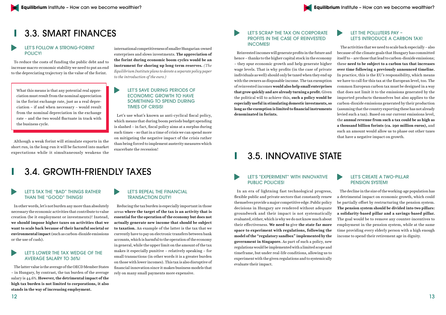

### **I** 3.3. SMART FINANCES

#### LET'S FOLLOW A STRONG-FORINT POLICY!

To reduce the costs of funding the public debt and to increase macro-economic stability we need to put an end to the depreciating trajectory in the value of the forint.

What this means is that any potential real appreciation must result from the nominal appreciation in the forint exchange rate, just as a real depreciation – if and when necessary – would result from the nominal depreciation in the exchange rate – and the two would fluctuate in track with the business cycle.

Although a weak forint will stimulate exports in the short run, in the long-run it will be factored into market expectations while it simultaneously weakens the

international competitiveness of smaller Hungarian-owned enterprises and slows investments. **The appreciation of the forint during economic boom cycles would be an instrument for shoring up long-term reserves.** *(The Equilibrium Institute plans to devote a separate policy paper to the introduction of the euro.)*

#### LET'S SAVE DURING PERIODS OF ECONOMIC GROWTH TO HAVE SOMETHING TO SPEND DURING TIMES OF CRISIS!

Let's use what's known as anti-cyclical fiscal policy, which means that during boom periods budget spending is slashed – in fact, fiscal policy aims at a surplus during such times – so that in a time of crisis we can spend more on mitigating the negative impact of the crisis rather than being forced to implement austerity measures which exacerbate the recession!

### **I** 3.4. GROWTH-FRIENDLY TAXES

#### LET'S TAX THE "BAD" THINGS RATHER THAN THE "GOOD" THINGS!

In other words, let's not burden any more than absolutely necessary the economic activities that contribute to value creation (be it employment or investments)! Instead, **we should impose higher taxes on activities that we want to scale back because of their harmful societal or environmental impact** (such as carbon-dioxide emissions or the use of cash).

#### LET'S LOWER THE TAX WEDGE OF THE AVERAGE SALARY TO 36%!

The latter value is the average of the OECD Member States – in Hungary, by contrast, the tax burden of the average salary is 44.6%. **However, the detrimental impact of the high tax burden is not limited to corporations, it also stands in the way of increasing employment.**

#### LET'S REPEAL THE FINANCIAL TRANSACTION DUTY!

Reducing the tax burden is especially important in those areas **where the target of the tax is an activity that is essential for the operation of the economy but does not actually generate new income that should be subject to taxation.** An example of the latter is the tax that we currently have to pay on electronic transfers between bank accounts, which is harmful to the operation of the economy in general, while the upper limit on the amount of the tax makes it especially punitive – relatively speaking – for small transactions (in other words it is a greater burden on those with lower incomes). This tax is also disruptive of financial innovation since it makes business models that rely on many small payments more expensive.

#### LET'S SCRAP THE TAX ON CORPORATE PROFITS IN THE CASE OF REINVESTED INCOMES!

#### LET THE POLLUTERS PAY – LET'S INTRODUCE A CARBON TAX!

Reinvested incomes will generate profits in the future and hence – thanks to the higher capital stock in the economy – they spur economic growth and help generate higher wage levels. That is why profits (in the case of private individuals as well) should only be taxed when they end up with the owners as disposable income. The tax exemption of reinvested incomes **would also help small enterprises that grow quickly and are already turning a profit.** Given the political will to achieve this, **such a policy would be especially useful in stimulating domestic investments, so long as the exemption is limited to financial instruments denominated in forints.**  The activities that we need to scale back especially – also because of the climate goals that Hungary has committed itself to – are those that lead to carbon-dioxide emissions; these **need to be subject to a carbon tax that increases over time following a previously announced timeline.**  In practice, this is the EU's responsibility, which means we have to call for this tax at the European level, too. The common European carbon tax must be designed in a way that does not limit it to the emissions generated by the imported products themselves but also applies to the carbon-dioxide emissions generated by their production (assuming that the country exporting these has not already levied such a tax). Based on our current emissions level, the **annual revenue from such a tax could be as high as a thousand billion forints (ca. 290 million euros),** and such an amount would allow us to phase out other taxes that have a negative impact on growth.

### **I** 3.5. INNOVATIVE STATE

#### LET'S "EXPERIMENT" WITH INNOVATIVE PUBLIC POLICIES!

In an era of lightning fast technological progress, flexible public and private sectors that constantly renew themselves provide a major competitive edge. Public policy decisions in Hungary are rendered without adequate groundwork and their impact is not systematically evaluated, either, which is why we do not know much about their effectiveness. **We need to** give **the state far more space to experiment with regulations, following the model of the "regulatory sandbox" implemented by the government in Singapore.** As part of such a policy, new regulations would be implemented with a limited scope and timeframe, but under real-life conditions, allowing us to experiment with the given regulations and to systemically evaluate their impact. The decline in the size of the working-age population has a detrimental impact on economic growth, which could be partially offset by restructuring the pension system. **The pension system should be divided into two pillars: a solidarity-based pillar and a savings-based pillar.**  The goal would be to remove any counter-incentives to employment in the pension system, while at the same time providing every elderly person with a high enough income to spend their retirement age in dignity.

#### LET'S CREATE A TWO-PILLAR PENSION SYSTEM!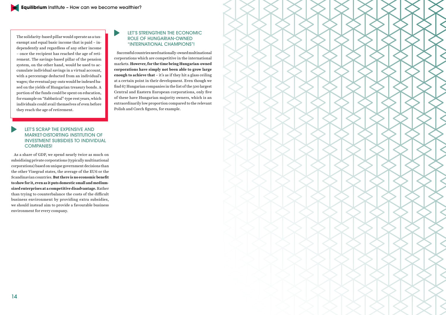



The solidarity-based pillar would operate as a taxexempt and equal basic income that is paid – independently and regardless of any other income – once the recipient has reached the age of retirement. The savings-based pillar of the pension system, on the other hand, would be used to accumulate individual savings in a virtual account, with a percentage deducted from an individual's wages; the eventual pay-outs would be indexed based on the yields of Hungarian treasury bonds. A portion of the funds could be spent on education, for example on "Sabbatical"-type rest years, which individuals could avail themselves of even before they reach the age of retirement.

#### LET'S SCRAP THE EXPENSIVE AND MARKET-DISTORTING INSTITUTION OF INVESTMENT SUBSIDIES TO INDIVIDUAL COMPANIES!

As a share of GDP, we spend nearly twice as much on subsidising private corporations (typically multinational corporations) based on unique government decisions than the other Visegrad states, the average of the EU6 or the Scandinavian countries. **But there is no economic benefit to show for it, even as it puts domestic small and mediumsized enterprises at a competitive disadvantage.** Rather than trying to counterbalance the costs of the difficult business environment by providing extra subsidies, we should instead aim to provide a favourable business environment for every company.

#### LET'S STRENGTHEN THE ECONOMIC ROLE OF HUNGARIAN-OWNED "INTERNATIONAL CHAMPIONS"!

Successful countries need nationally-owned multinational corporations which are competitive in the international markets. **However, for the time being Hungarian-owned corporations have simply not been able to grow large enough to achieve that** – it's as if they hit a glass ceiling at a certain point in their development. Even though we find 67 Hungarian companies in the list of the 500 largest Central and Eastern European corporations, only five of these have Hungarian majority owners, which is an extraordinarily low proportion compared to the relevant Polish and Czech figures, for example.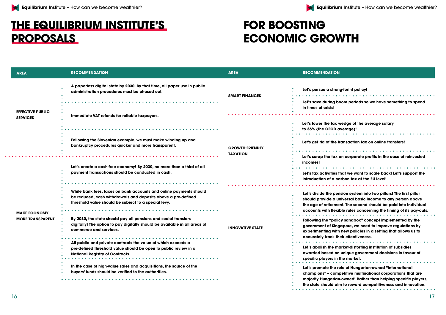#### **ng-forint policy!**  $\begin{array}{cccccccccccccc} \bullet & \bullet & \bullet & \bullet & \bullet & \bullet & \bullet \end{array}$ **Let's save during boom periods so we have something to spend Lettiary** wedge of the average salary **average)!** . . . . . . . . . . . . . . . . . . . . . . . . . . **. transaction tax on online transfers! Lettia** corporate profits in the case of reinvested that we want to scale back! Let's support the **introduction of a carbon tax at the EU level! Let's divide the pension system into two pillars! The first pillar should provide a universal basic income to any person above**  ent. The second should be paid into individual **accounts with flexible rules concerning the timing of its pay-outs.**  $\begin{array}{cccccccccccccc} \bullet & \bullet & \bullet & \bullet & \bullet & \bullet & \bullet \end{array}$ **Filter** implemented by the inconcept implemented by the **gapore, we need to improve regulations by experimenting with new policies in a setting that allows us to heir effectiveness.** . . . . . . . . . . . . . . . . . . . **Let's abolish the market-distorting institution of subsidies n unique government decisions in favour of specific players in the market.** role of Hungarian-owned "international **champions" – competitive multinational corporations that are m-owned! Rather than helping specific players, the state state in term** in to reward competitiveness and innovation. 16 17

### **THE EQUILIBRIUM INSTITUTE'S PROPOSALS**

| <b>AREA</b>                                | <b>RECOMMENDATION</b>                                                                                                                                                                                                                    | <b>AREA</b>             | <b>RECOMMENDATION</b>                                                                                                                                |
|--------------------------------------------|------------------------------------------------------------------------------------------------------------------------------------------------------------------------------------------------------------------------------------------|-------------------------|------------------------------------------------------------------------------------------------------------------------------------------------------|
|                                            | A paperless digital state by 2030. By that time, all paper use in public<br>administration procedures must be phased out.                                                                                                                | <b>SMART FINANCES</b>   | Let's pursue a stron<br>Let's save during be                                                                                                         |
| <b>EFFECTIVE PUBLIC</b><br><b>SERVICES</b> | Immediate VAT refunds for reliable taxpayers.                                                                                                                                                                                            |                         | in times of crisis!                                                                                                                                  |
|                                            |                                                                                                                                                                                                                                          |                         | Let's lower the tax \<br>to 36% (the OECD of                                                                                                         |
|                                            | Following the Slovenian example, we must make winding up and<br>bankruptcy procedures quicker and more transparent.                                                                                                                      | <b>GROWTH-FRIENDLY</b>  | Let's get rid of the t                                                                                                                               |
|                                            |                                                                                                                                                                                                                                          | <b>TAXATION</b>         | Let's scrap the tax<br>incomes!                                                                                                                      |
|                                            | Let's create a cash-free economy! By 2030, no more than a third of all                                                                                                                                                                   |                         |                                                                                                                                                      |
|                                            | payment transactions should be conducted in cash.                                                                                                                                                                                        |                         | Let's tax activities t<br>introduction of a co                                                                                                       |
|                                            |                                                                                                                                                                                                                                          |                         |                                                                                                                                                      |
|                                            | While bank fees, taxes on bank accounts and online payments should<br>be reduced, cash withdrawals and deposits above a pre-defined<br>threshold value should be subject to a special levy.                                              |                         | Let's divide the per<br>should provide a u<br>the age of retireme                                                                                    |
| <b>MAKE ECONOMY</b>                        |                                                                                                                                                                                                                                          |                         | accounts with flexi                                                                                                                                  |
| <b>MORE TRANSPARENT</b>                    | By 2030, the state should pay all pensions and social transfers<br>digitally! The option to pay digitally should be available in all areas of<br>commerce and services.<br>All public and private contracts the value of which exceeds a | <b>INNOVATIVE STATE</b> | <b>Following the "polion"</b><br>government of Sing<br>experimenting with                                                                            |
|                                            |                                                                                                                                                                                                                                          |                         | accurately track th<br>$\begin{array}{cccccccccccccc} \bullet & \bullet & \bullet & \bullet & \bullet & \bullet \end{array}$<br>Let's abolish the me |
|                                            | pre-defined threshold value should be open to public review in a<br><b>National Registry of Contracts.</b>                                                                                                                               |                         | awarded based on<br>specific players in                                                                                                              |
|                                            | In the case of high-value sales and acquisitions, the source of the                                                                                                                                                                      |                         |                                                                                                                                                      |
|                                            | buyers' funds should be verified to the authorities.                                                                                                                                                                                     |                         | Let's promote the re<br>champions" - com                                                                                                             |
|                                            |                                                                                                                                                                                                                                          |                         | majority Hungarian<br>the state should air                                                                                                           |

## **FOR BOOSTING ECONOMIC GROWTH**

. . . . . . . . . . . . .

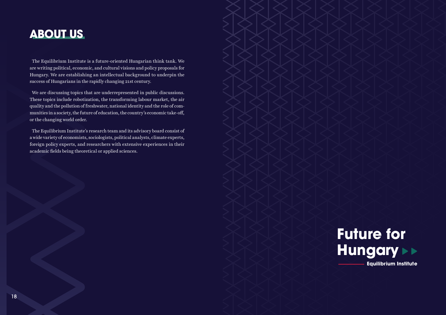

We are discussing topics that are underrepresented in public discussions. These topics include robotization, the transforming labour market, the air quality and the pollution of freshwater, national identity and the role of communities in a society, the future of education, the country's economic take-off, or the changing world order. 180<br>**Egyensüly International Studies -**<br>1919 – Howard Management meg a demokráciát meg a demokráciát meg a demokráciát meg a demokráciát meg a demokrác<br>1919 – Alexandre Mungary Management Mungary Management Mungary Managem

The Equilibrium Institute is a future-oriented Hungarian think tank. We are writing political, economic, and cultural visions and policy proposals for Hungary. We are establishing an intellectual background to underpin the success of Hungarians in the rapidly changing 21st century.

The Equilibrium Institute's research team and its advisory board consist of a wide variety of economists, sociologists, political analysts, climate experts, foreign policy experts, and researchers with extensive experiences in their academic fields being theoretical or applied sciences.

### **ABOUT US**

**Future for Hungary Equilibrium Institute**